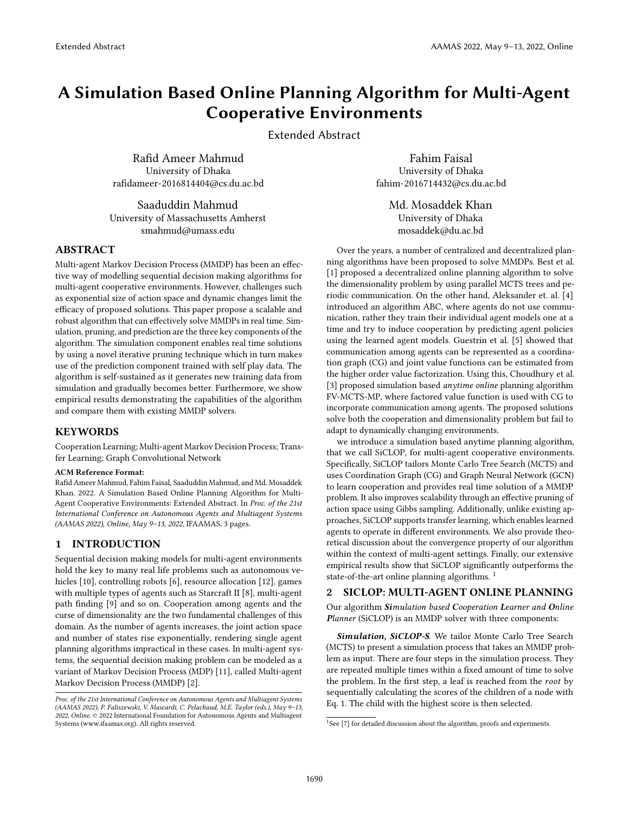# A Simulation Based Online Planning Algorithm for Multi-Agent Cooperative Environments

Extended Abstract

Rafid Ameer Mahmud University of Dhaka rafidameer-2016814404@cs.du.ac.bd

Saaduddin Mahmud University of Massachusetts Amherst smahmud@umass.edu

ABSTRACT

Multi-agent Markov Decision Process (MMDP) has been an effective way of modelling sequential decision making algorithms for multi-agent cooperative environments. However, challenges such as exponential size of action space and dynamic changes limit the efficacy of proposed solutions. This paper propose a scalable and robust algorithm that can effectively solve MMDPs in real time. Simulation, pruning, and prediction are the three key components of the algorithm. The simulation component enables real time solutions by using a novel iterative pruning technique which in turn makes use of the prediction component trained with self play data. The algorithm is self-sustained as it generates new training data from simulation and gradually becomes better. Furthermore, we show empirical results demonstrating the capabilities of the algorithm and compare them with existing MMDP solvers.

# KEYWORDS

Cooperation Learning; Multi-agent Markov Decision Process; Transfer Learning; Graph Convolutional Network

#### ACM Reference Format:

Rafid Ameer Mahmud, Fahim Faisal, Saaduddin Mahmud, and Md. Mosaddek Khan. 2022. A Simulation Based Online Planning Algorithm for Multi-Agent Cooperative Environments: Extended Abstract. In Proc. of the 21st International Conference on Autonomous Agents and Multiagent Systems (AAMAS 2022), Online, May 9–13, 2022, IFAAMAS, [3](#page-2-0) pages.

### 1 INTRODUCTION

Sequential decision making models for multi-agent environments hold the key to many real life problems such as autonomous vehicles [\[10\]](#page-2-1), controlling robots [\[6\]](#page-2-2), resource allocation [\[12\]](#page-2-3), games with multiple types of agents such as Starcraft II [\[8\]](#page-2-4), multi-agent path finding [\[9\]](#page-2-5) and so on. Cooperation among agents and the curse of dimensionality are the two fundamental challenges of this domain. As the number of agents increases, the joint action space and number of states rise exponentially, rendering single agent planning algorithms impractical in these cases. In multi-agent systems, the sequential decision making problem can be modeled as a variant of Markov Decision Process (MDP) [\[11\]](#page-2-6), called Multi-agent Markov Decision Process (MMDP) [\[2\]](#page-2-7).

Fahim Faisal University of Dhaka fahim-2016714432@cs.du.ac.bd

> Md. Mosaddek Khan University of Dhaka mosaddek@du.ac.bd

Over the years, a number of centralized and decentralized planning algorithms have been proposed to solve MMDPs. Best et al. [\[1\]](#page-2-8) proposed a decentralized online planning algorithm to solve the dimensionality problem by using parallel MCTS trees and periodic communication. On the other hand, Aleksander et. al. [\[4\]](#page-2-9) introduced an algorithm ABC, where agents do not use communication, rather they train their individual agent models one at a time and try to induce cooperation by predicting agent policies using the learned agent models. Guestrin et al. [\[5\]](#page-2-10) showed that communication among agents can be represented as a coordination graph (CG) and joint value functions can be estimated from the higher order value factorization. Using this, Choudhury et al. [\[3\]](#page-2-11) proposed simulation based *anytime online* planning algorithm FV-MCTS-MP, where factored value function is used with CG to incorporate communication among agents. The proposed solutions solve both the cooperation and dimensionality problem but fail to adapt to dynamically changing environments.

we introduce a simulation based anytime planning algorithm, that we call SiCLOP, for multi-agent cooperative environments. Specifically, SiCLOP tailors Monte Carlo Tree Search (MCTS) and uses Coordination Graph (CG) and Graph Neural Network (GCN) to learn cooperation and provides real time solution of a MMDP problem. It also improves scalability through an effective pruning of action space using Gibbs sampling. Additionally, unlike existing approaches, SiCLOP supports transfer learning, which enables learned agents to operate in different environments. We also provide theoretical discussion about the convergence property of our algorithm within the context of multi-agent settings. Finally, our extensive empirical results show that SiCLOP significantly outperforms the state-of-the-art online planning algorithms.<sup>[1](#page-0-0)</sup>

# 2 SICLOP: MULTI-AGENT ONLINE PLANNING

Our algorithm Simulation based Cooperation Learner and Online Planner (SiCLOP) is an MMDP solver with three components:

Simulation, SiCLOP-S. We tailor Monte Carlo Tree Search (MCTS) to present a simulation process that takes an MMDP problem as input. There are four steps in the simulation process. They are repeated multiple times within a fixed amount of time to solve the problem. In the first step, a leaf is reached from the root by sequentially calculating the scores of the children of a node with Eq. [1.](#page-1-0) The child with the highest score is then selected.

Proc. of the 21st International Conference on Autonomous Agents and Multiagent Systems (AAMAS 2022), P. Faliszewski, V. Mascardi, C. Pelachaud, M.E. Taylor (eds.), May 9–13, 2022, Online. © 2022 International Foundation for Autonomous Agents and Multiagent Systems (www.ifaamas.org). All rights reserved.

<span id="page-0-0"></span><sup>&</sup>lt;sup>1</sup>See [\[7\]](#page-2-12) for detailed discussion about the algorithm, proofs and experiments.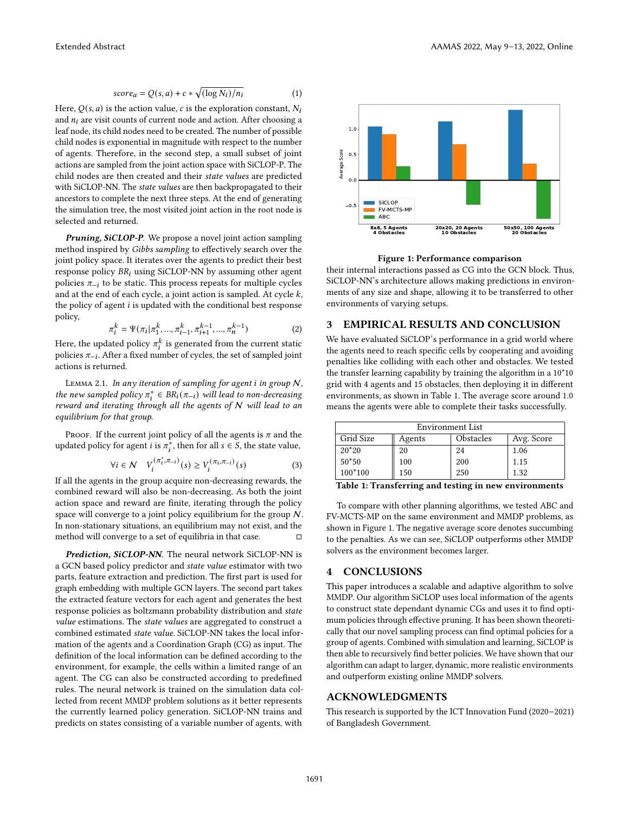<span id="page-1-0"></span>
$$
score_a = Q(s, a) + c * \sqrt{\frac{\log N_i}{n_i}} \tag{1}
$$

Here,  $Q(s, a)$  is the action value, c is the exploration constant,  $N_i$ and  $n_i$  are visit counts of current node and action. After choosing a leaf node, its child nodes need to be created. The number of possible child nodes is exponential in magnitude with respect to the number of agents. Therefore, in the second step, a small subset of joint actions are sampled from the joint action space with SiCLOP-P. The child nodes are then created and their state values are predicted with SiCLOP-NN. The state values are then backpropagated to their ancestors to complete the next three steps. At the end of generating the simulation tree, the most visited joint action in the root node is selected and returned.

Pruning, SiCLOP-P. We propose a novel joint action sampling method inspired by Gibbs sampling to effectively search over the joint policy space. It iterates over the agents to predict their best response policy  $BR_i$  using SiCLOP-NN by assuming other agent policies  $\pi_{-i}$  to be static. This process repeats for multiple cycles and at the end of each cycle, a joint action is sampled. At cycle  $k$ , the policy of agent  $i$  is updated with the conditional best response policy,

$$
\pi_i^k = \Psi(\pi_i | \pi_1^k, ..., \pi_{i-1}^k, \pi_{i+1}^{k-1}, ..., \pi_n^{k-1})
$$
 (2)

Here, the updated policy  $\pi^k_i$  is generated from the current static policies  $\pi_{-i}$ . After a fixed number of cycles, the set of sampled joint actions is returned.

LEMMA 2.1. In any iteration of sampling for agent  $i$  in group  $N$ , the new sampled policy  $\pi_i^* \in BR_i(\pi_{-i})$  will lead to non-decreasing reward and iterating through all the agents of  $N$  will lead to an equilibrium for that group.

PROOF. If the current joint policy of all the agents is  $\pi$  and the updated policy for agent *i* is  $\pi_i^*$ , then for all  $s \in S$ , the state value,

$$
\forall i \in \mathcal{N} \quad V_i^{\left(\pi_i^*, \pi_{-i}\right)}(s) \ge V_i^{\left(\pi_i, \pi_{-i}\right)}(s) \tag{3}
$$

If all the agents in the group acquire non-decreasing rewards, the combined reward will also be non-decreasing. As both the joint action space and reward are finite, iterating through the policy space will converge to a joint policy equilibrium for the group N. In non-stationary situations, an equilibrium may not exist, and the method will converge to a set of equilibria in that case.  $□$ 

Prediction, SiCLOP-NN. The neural network SiCLOP-NN is a GCN based policy predictor and state value estimator with two parts, feature extraction and prediction. The first part is used for graph embedding with multiple GCN layers. The second part takes the extracted feature vectors for each agent and generates the best response policies as boltzmann probability distribution and state value estimations. The state values are aggregated to construct a combined estimated state value. SiCLOP-NN takes the local information of the agents and a Coordination Graph (CG) as input. The definition of the local information can be defined according to the environment, for example, the cells within a limited range of an agent. The CG can also be constructed according to predefined rules. The neural network is trained on the simulation data collected from recent MMDP problem solutions as it better represents the currently learned policy generation. SiCLOP-NN trains and predicts on states consisting of a variable number of agents, with

<span id="page-1-2"></span>

Figure 1: Performance comparison

their internal interactions passed as CG into the GCN block. Thus, SiCLOP-NN's architecture allows making predictions in environments of any size and shape, allowing it to be transferred to other environments of varying setups.

#### 3 EMPIRICAL RESULTS AND CONCLUSION

We have evaluated SiCLOP's performance in a grid world where the agents need to reach specific cells by cooperating and avoiding penalties like colliding with each other and obstacles. We tested the transfer learning capability by training the algorithm in a 10\*10 grid with 4 agents and 15 obstacles, then deploying it in different environments, as shown in Table [1.](#page-1-1) The average score around 1.0 means the agents were able to complete their tasks successfully.

<span id="page-1-1"></span>

| Environment List |        |           |            |
|------------------|--------|-----------|------------|
| Grid Size        | Agents | Obstacles | Avg. Score |
| $20*20$          | 20     | 24        | 1.06       |
| $50*50$          | 100    | 200       | 1.15       |
| $100*100$        | 150    | 250       | 1.32       |

Table 1: Transferring and testing in new environments

To compare with other planning algorithms, we tested ABC and FV-MCTS-MP on the same environment and MMDP problems, as shown in Figure [1.](#page-1-2) The negative average score denotes succumbing to the penalties. As we can see, SiCLOP outperforms other MMDP solvers as the environment becomes larger.

#### 4 CONCLUSIONS

This paper introduces a scalable and adaptive algorithm to solve MMDP. Our algorithm SiCLOP uses local information of the agents to construct state dependant dynamic CGs and uses it to find optimum policies through effective pruning. It has been shown theoretically that our novel sampling process can find optimal policies for a group of agents. Combined with simulation and learning, SiCLOP is then able to recursively find better policies. We have shown that our algorithm can adapt to larger, dynamic, more realistic environments and outperform existing online MMDP solvers.

#### ACKNOWLEDGMENTS

This research is supported by the ICT Innovation Fund (2020−2021) of Bangladesh Government.